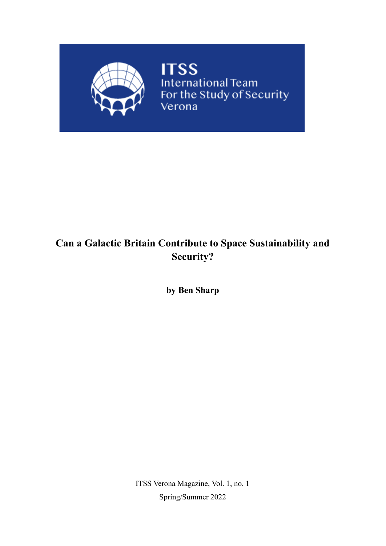

**ITSS** International Team<br>For the Study of Security<br>Verona

## **Can a Galactic Britain Contribute to Space Sustainability and Security?**

**by Ben Sharp**

ITSS Verona Magazine, Vol. 1, no. 1 Spring/Summer 2022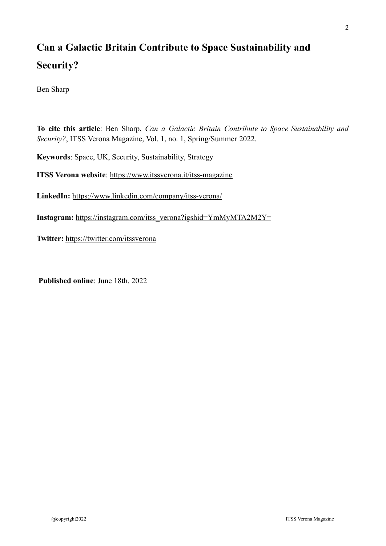# **Can a Galactic Britain Contribute to Space Sustainability and Security?**

Ben Sharp

**To cite this article**: Ben Sharp, *Can a Galactic Britain Contribute to Space Sustainability and Security?*, ITSS Verona Magazine, Vol. 1, no. 1, Spring/Summer 2022.

**Keywords**: Space, UK, Security, Sustainability, Strategy

**ITSS Verona website**: <https://www.itssverona.it/itss-magazine>

**LinkedIn:** <https://www.linkedin.com/company/itss-verona/>

**Instagram:** [https://instagram.com/itss\\_verona?igshid=YmMyMTA2M2Y=](https://instagram.com/itss_verona?igshid=YmMyMTA2M2Y=)

**Twitter:** <https://twitter.com/itssverona>

**Published online**: June 18th, 2022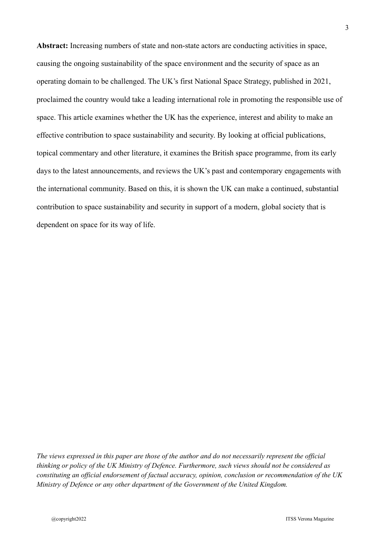**Abstract:** Increasing numbers of state and non-state actors are conducting activities in space, causing the ongoing sustainability of the space environment and the security of space as an operating domain to be challenged. The UK's first National Space Strategy, published in 2021, proclaimed the country would take a leading international role in promoting the responsible use of space. This article examines whether the UK has the experience, interest and ability to make an effective contribution to space sustainability and security. By looking at official publications, topical commentary and other literature, it examines the British space programme, from its early days to the latest announcements, and reviews the UK's past and contemporary engagements with the international community. Based on this, it is shown the UK can make a continued, substantial contribution to space sustainability and security in support of a modern, global society that is dependent on space for its way of life.

The views expressed in this paper are those of the author and do not necessarily represent the official *thinking or policy of the UK Ministry of Defence. Furthermore, such views should not be considered as constituting an of icial endorsement of factual accuracy, opinion, conclusion or recommendation of the UK Ministry of Defence or any other department of the Government of the United Kingdom.*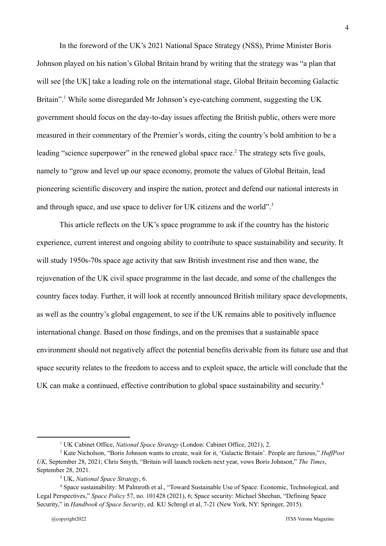In the foreword of the UK's 2021 National Space Strategy (NSS), Prime Minister Boris Johnson played on his nation's Global Britain brand by writing that the strategy was "a plan that will see [the UK] take a leading role on the international stage, Global Britain becoming Galactic Britain".<sup>1</sup> While some disregarded Mr Johnson's eye-catching comment, suggesting the UK government should focus on the day-to-day issues affecting the British public, others were more measured in their commentary of the Premier's words, citing the country's bold ambition to be a leading "science superpower" in the renewed global space race.<sup>2</sup> The strategy sets five goals, namely to "grow and level up our space economy, promote the values of Global Britain, lead pioneering scientific discovery and inspire the nation, protect and defend our national interests in and through space, and use space to deliver for UK citizens and the world".<sup>3</sup>

This article reflects on the UK's space programme to ask if the country has the historic experience, current interest and ongoing ability to contribute to space sustainability and security. It will study 1950s-70s space age activity that saw British investment rise and then wane, the rejuvenation of the UK civil space programme in the last decade, and some of the challenges the country faces today. Further, it will look at recently announced British military space developments, as well as the country's global engagement, to see if the UK remains able to positively influence international change. Based on those findings, and on the premises that a sustainable space environment should not negatively affect the potential benefits derivable from its future use and that space security relates to the freedom to access and to exploit space, the article will conclude that the UK can make a continued, effective contribution to global space sustainability and security. 4

<sup>1</sup> UK Cabinet Office, *National Space Strategy* (London: Cabinet Office, 2021), 2.

<sup>&</sup>lt;sup>2</sup> Kate Nicholson, "Boris Johnson wants to create, wait for it, 'Galactic Britain'. People are furious," *HuffPost UK*, September 28, 2021; Chris Smyth, "Britain will launch rockets next year, vows Boris Johnson," *The Times*, September 28, 2021.

<sup>3</sup> UK, *National Space Strategy*, 6.

<sup>4</sup> Space sustainability: M Palmroth et al., "Toward Sustainable Use of Space: Economic, Technological, and Legal Perspectives," *Space Policy* 57, no. 101428 (2021), 6; Space security: Michael Sheehan, "Defining Space Security," in *Handbook of Space Security*, ed. KU Schrogl et al, 7-21 (New York, NY: Springer, 2015).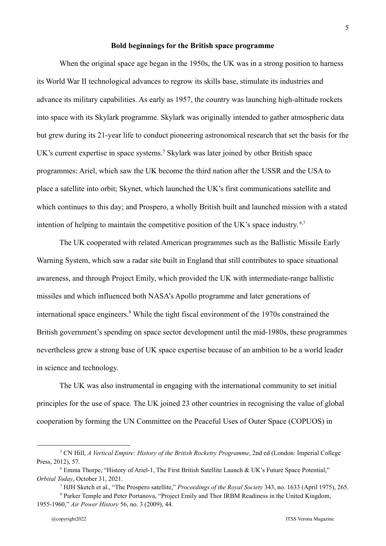## **Bold beginnings for the British space programme**

When the original space age began in the 1950s, the UK was in a strong position to harness its World War II technological advances to regrow its skills base, stimulate its industries and advance its military capabilities. As early as 1957, the country was launching high-altitude rockets into space with its Skylark programme. Skylark was originally intended to gather atmospheric data but grew during its 21-year life to conduct pioneering astronomical research that set the basis for the UK's current expertise in space systems.<sup>5</sup> Skylark was later joined by other British space programmes: Ariel, which saw the UK become the third nation after the USSR and the USA to place a satellite into orbit; Skynet, which launched the UK's first communications satellite and which continues to this day; and Prospero, a wholly British built and launched mission with a stated intention of helping to maintain the competitive position of the UK's space industry.<sup>6,7</sup>

The UK cooperated with related American programmes such as the Ballistic Missile Early Warning System, which saw a radar site built in England that still contributes to space situational awareness, and through Project Emily, which provided the UK with intermediate-range ballistic missiles and which influenced both NASA's Apollo programme and later generations of international space engineers.<sup>8</sup> While the tight fiscal environment of the 1970s constrained the British government's spending on space sector development until the mid-1980s, these programmes nevertheless grew a strong base of UK space expertise because of an ambition to be a world leader in science and technology.

The UK was also instrumental in engaging with the international community to set initial principles for the use of space. The UK joined 23 other countries in recognising the value of global cooperation by forming the UN Committee on the Peaceful Uses of Outer Space (COPUOS) in

<sup>5</sup> CN Hill, *A Vertical Empire: History of the British Rocketry Programme*, 2nd ed (London: Imperial College Press, 2012), 57.

<sup>6</sup> Emma Thorpe, "History of Ariel-1, The First British Satellite Launch & UK's Future Space Potential," *Orbital Today*, October 31, 2021.

<sup>7</sup> HJH Sketch et al., "The Prospero satellite," *Proceedings of the Royal Society* 343, no. 1633 (April 1975), 265.

<sup>8</sup> Parker Temple and Peter Portanova, "Project Emily and Thor IRBM Readiness in the United Kingdom, 1955-1960," *Air Power History* 56, no. 3 (2009), 44.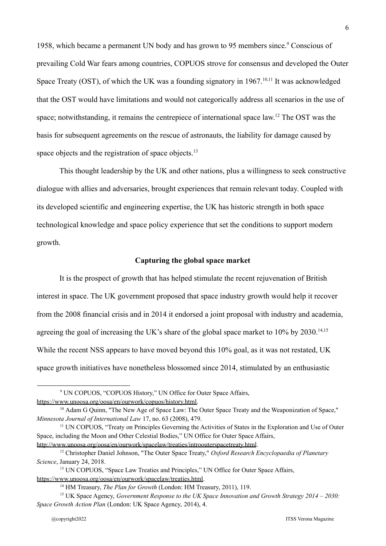1958, which became a permanent UN body and has grown to 95 members since.<sup>9</sup> Conscious of prevailing Cold War fears among countries, COPUOS strove for consensus and developed the Outer Space Treaty (OST), of which the UK was a founding signatory in 1967.<sup>10,11</sup> It was acknowledged that the OST would have limitations and would not categorically address all scenarios in the use of space; notwithstanding, it remains the centrepiece of international space law.<sup>12</sup> The OST was the basis for subsequent agreements on the rescue of astronauts, the liability for damage caused by space objects and the registration of space objects.<sup>13</sup>

This thought leadership by the UK and other nations, plus a willingness to seek constructive dialogue with allies and adversaries, brought experiences that remain relevant today. Coupled with its developed scientific and engineering expertise, the UK has historic strength in both space technological knowledge and space policy experience that set the conditions to support modern growth.

#### **Capturing the global space market**

It is the prospect of growth that has helped stimulate the recent rejuvenation of British interest in space. The UK government proposed that space industry growth would help it recover from the 2008 financial crisis and in 2014 it endorsed a joint proposal with industry and academia, agreeing the goal of increasing the UK's share of the global space market to  $10\%$  by  $2030$ .<sup>14,15</sup> While the recent NSS appears to have moved beyond this 10% goal, as it was not restated, UK space growth initiatives have nonetheless blossomed since 2014, stimulated by an enthusiastic

<http://www.unoosa.org/oosa/en/ourwork/spacelaw/treaties/introouterspacetreaty.html>.

<sup>9</sup> UN COPUOS, "COPUOS History," UN Office for Outer Space Affairs, [https://www.unoosa.org/oosa/en/ourwork/copuos/history.html.](https://www.unoosa.org/oosa/en/ourwork/copuos/history.html)

<sup>&</sup>lt;sup>10</sup> Adam G Quinn, "The New Age of Space Law: The Outer Space Treaty and the Weaponization of Space," *Minnesota Journal of International Law* 17, no. 63 (2008), 479.

<sup>11</sup> UN COPUOS, "Treaty on Principles Governing the Activities of States in the Exploration and Use of Outer Space, including the Moon and Other Celestial Bodies," UN Office for Outer Space Affairs,

<sup>12</sup> Christopher Daniel Johnson, "The Outer Space Treaty," *Oxford Research Encyclopaedia of Planetary Science*, January 24, 2018.

<sup>&</sup>lt;sup>13</sup> UN COPUOS, "Space Law Treaties and Principles," UN Office for Outer Space Affairs, [https://www.unoosa.org/oosa/en/ourwork/spacelaw/treaties.html.](https://www.unoosa.org/oosa/en/ourwork/spacelaw/treaties.html)

<sup>14</sup> HM Treasury, *The Plan for Growth* (London: HM Treasury, 2011), 119.

<sup>15</sup> UK Space Agency, *Government Response to the UK Space Innovation and Growth Strategy 2014 – 2030: Space Growth Action Plan* (London: UK Space Agency, 2014), 4.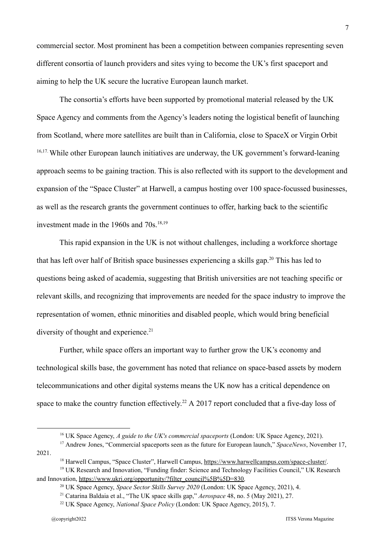commercial sector. Most prominent has been a competition between companies representing seven different consortia of launch providers and sites vying to become the UK's first spaceport and aiming to help the UK secure the lucrative European launch market.

The consortia's efforts have been supported by promotional material released by the UK Space Agency and comments from the Agency's leaders noting the logistical benefit of launching from Scotland, where more satellites are built than in California, close to SpaceX or Virgin Orbit <sup>16,17</sup>. While other European launch initiatives are underway, the UK government's forward-leaning approach seems to be gaining traction. This is also reflected with its support to the development and expansion of the "Space Cluster" at Harwell, a campus hosting over 100 space-focussed businesses, as well as the research grants the government continues to offer, harking back to the scientific investment made in the 1960s and  $70s$ .<sup>18,19</sup>

This rapid expansion in the UK is not without challenges, including a workforce shortage that has left over half of British space businesses experiencing a skills gap.<sup>20</sup> This has led to questions being asked of academia, suggesting that British universities are not teaching specific or relevant skills, and recognizing that improvements are needed for the space industry to improve the representation of women, ethnic minorities and disabled people, which would bring beneficial diversity of thought and experience.<sup>21</sup>

Further, while space offers an important way to further grow the UK's economy and technological skills base, the government has noted that reliance on space-based assets by modern telecommunications and other digital systems means the UK now has a critical dependence on space to make the country function effectively.<sup>22</sup> A 2017 report concluded that a five-day loss of

<sup>16</sup> UK Space Agency, *A guide to the UK's commercial spaceports* (London: UK Space Agency, 2021).

<sup>17</sup> Andrew Jones, "Commercial spaceports seen as the future for European launch," *SpaceNews*, November 17, 2021.

<sup>&</sup>lt;sup>18</sup> Harwell Campus, "Space Cluster", Harwell Campus, <https://www.harwellcampus.com/space-cluster/>.

<sup>&</sup>lt;sup>19</sup> UK Research and Innovation, "Funding finder: Science and Technology Facilities Council," UK Research and Innovation, [https://www.ukri.org/opportunity/?filter\\_council%5B%5D=830.](https://www.ukri.org/opportunity/?filter_council%5B%5D=830)

<sup>20</sup> UK Space Agency, *Space Sector Skills Survey 2020* (London: UK Space Agency, 2021), 4.

<sup>21</sup> Catarina Baldaia et al., "The UK space skills gap," *Aerospace* 48, no. 5 (May 2021), 27.

<sup>22</sup> UK Space Agency, *National Space Policy* (London: UK Space Agency, 2015), 7.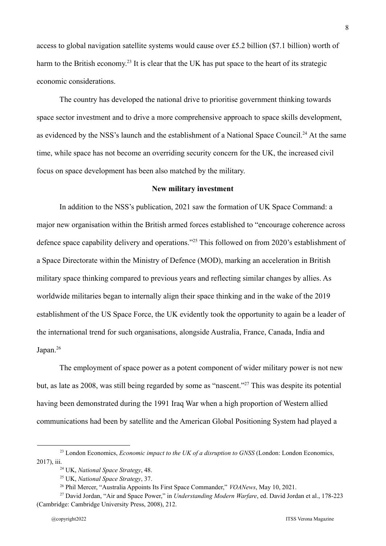access to global navigation satellite systems would cause over £5.2 billion (\$7.1 billion) worth of harm to the British economy.<sup>23</sup> It is clear that the UK has put space to the heart of its strategic economic considerations.

The country has developed the national drive to prioritise government thinking towards space sector investment and to drive a more comprehensive approach to space skills development, as evidenced by the NSS's launch and the establishment of a National Space Council.<sup>24</sup> At the same time, while space has not become an overriding security concern for the UK, the increased civil focus on space development has been also matched by the military.

#### **New military investment**

In addition to the NSS's publication, 2021 saw the formation of UK Space Command: a major new organisation within the British armed forces established to "encourage coherence across defence space capability delivery and operations."<sup>25</sup> This followed on from 2020's establishment of a Space Directorate within the Ministry of Defence (MOD), marking an acceleration in British military space thinking compared to previous years and reflecting similar changes by allies. As worldwide militaries began to internally align their space thinking and in the wake of the 2019 establishment of the US Space Force, the UK evidently took the opportunity to again be a leader of the international trend for such organisations, alongside Australia, France, Canada, India and Japan.<sup>26</sup>

The employment of space power as a potent component of wider military power is not new but, as late as 2008, was still being regarded by some as "nascent."<sup>27</sup> This was despite its potential having been demonstrated during the 1991 Iraq War when a high proportion of Western allied communications had been by satellite and the American Global Positioning System had played a

<sup>23</sup> London Economics, *Economic impact to the UK of a disruption to GNSS* (London: London Economics, 2017), iii.

<sup>24</sup> UK, *National Space Strategy*, 48.

<sup>25</sup> UK, *National Space Strategy*, 37.

<sup>26</sup> Phil Mercer, "Australia Appoints Its First Space Commander," *VOANews*, May 10, 2021.

<sup>27</sup> David Jordan, "Air and Space Power," in *Understanding Modern Warfare*, ed. David Jordan et al., 178-223 (Cambridge: Cambridge University Press, 2008), 212.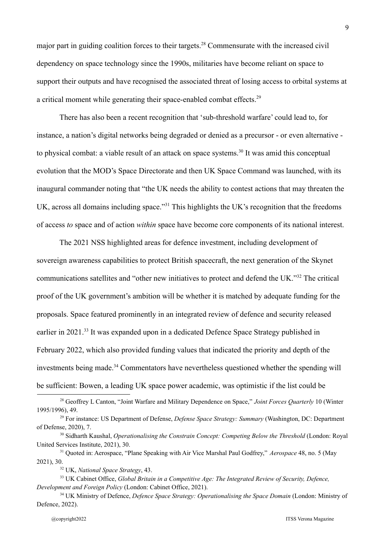major part in guiding coalition forces to their targets.<sup>28</sup> Commensurate with the increased civil dependency on space technology since the 1990s, militaries have become reliant on space to support their outputs and have recognised the associated threat of losing access to orbital systems at a critical moment while generating their space-enabled combat effects.<sup>29</sup>

There has also been a recent recognition that 'sub-threshold warfare' could lead to, for instance, a nation's digital networks being degraded or denied as a precursor - or even alternative to physical combat: a viable result of an attack on space systems.<sup>30</sup> It was amid this conceptual evolution that the MOD's Space Directorate and then UK Space Command was launched, with its inaugural commander noting that "the UK needs the ability to contest actions that may threaten the UK, across all domains including space."<sup>31</sup> This highlights the UK's recognition that the freedoms of access *to* space and of action *within* space have become core components of its national interest.

The 2021 NSS highlighted areas for defence investment, including development of sovereign awareness capabilities to protect British spacecraft, the next generation of the Skynet communications satellites and "other new initiatives to protect and defend the UK."<sup>32</sup> The critical proof of the UK government's ambition will be whether it is matched by adequate funding for the proposals. Space featured prominently in an integrated review of defence and security released earlier in 2021.<sup>33</sup> It was expanded upon in a dedicated Defence Space Strategy published in February 2022, which also provided funding values that indicated the priority and depth of the investments being made.<sup>34</sup> Commentators have nevertheless questioned whether the spending will be sufficient: Bowen, a leading UK space power academic, was optimistic if the list could be

<sup>28</sup> Geoffrey L Canton, "Joint Warfare and Military Dependence on Space," *Joint Forces Quarterly* 10 (Winter 1995/1996), 49.

<sup>29</sup> For instance: US Department of Defense, *Defense Space Strategy: Summary* (Washington, DC: Department of Defense, 2020), 7.

<sup>30</sup> Sidharth Kaushal, *Operationalising the Constrain Concept: Competing Below the Threshold* (London: Royal United Services Institute, 2021), 30.

<sup>31</sup> Quoted in: Aerospace, "Plane Speaking with Air Vice Marshal Paul Godfrey," *Aerospace* 48, no. 5 (May 2021), 30.

<sup>32</sup> UK, *National Space Strategy*, 43.

<sup>33</sup> UK Cabinet Office, *Global Britain in a Competitive Age: The Integrated Review of Security, Defence, Development and Foreign Policy* (London: Cabinet Office, 2021).

<sup>34</sup> UK Ministry of Defence, *Defence Space Strategy: Operationalising the Space Domain* (London: Ministry of Defence, 2022).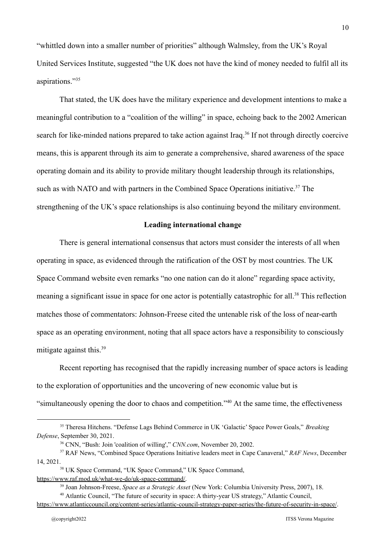"whittled down into a smaller number of priorities" although Walmsley, from the UK's Royal United Services Institute, suggested "the UK does not have the kind of money needed to fulfil all its aspirations."<sup>35</sup>

That stated, the UK does have the military experience and development intentions to make a meaningful contribution to a "coalition of the willing" in space, echoing back to the 2002 American search for like-minded nations prepared to take action against Iraq.<sup>36</sup> If not through directly coercive means, this is apparent through its aim to generate a comprehensive, shared awareness of the space operating domain and its ability to provide military thought leadership through its relationships, such as with NATO and with partners in the Combined Space Operations initiative.<sup>37</sup> The strengthening of the UK's space relationships is also continuing beyond the military environment.

## **Leading international change**

There is general international consensus that actors must consider the interests of all when operating in space, as evidenced through the ratification of the OST by most countries. The UK Space Command website even remarks "no one nation can do it alone" regarding space activity, meaning a significant issue in space for one actor is potentially catastrophic for all.<sup>38</sup> This reflection matches those of commentators: Johnson-Freese cited the untenable risk of the loss of near-earth space as an operating environment, noting that all space actors have a responsibility to consciously mitigate against this.<sup>39</sup>

Recent reporting has recognised that the rapidly increasing number of space actors is leading to the exploration of opportunities and the uncovering of new economic value but is "simultaneously opening the door to chaos and competition."<sup>40</sup> At the same time, the effectiveness

<sup>35</sup> Theresa Hitchens. "Defense Lags Behind Commerce in UK 'Galactic' Space Power Goals," *Breaking Defense*, September 30, 2021.

<sup>36</sup> CNN, "Bush: Join 'coalition of willing'," *CNN.com*, November 20, 2002.

<sup>37</sup> RAF News, "Combined Space Operations Initiative leaders meet in Cape Canaveral," *RAF News*, December 14, 2021.

<sup>38</sup> UK Space Command, "UK Space Command," UK Space Command, <https://www.raf.mod.uk/what-we-do/uk-space-command/>.

<sup>39</sup> Joan Johnson-Freese, *Space as a Strategic Asset* (New York: Columbia University Press, 2007), 18.

<sup>40</sup> Atlantic Council, "The future of security in space: A thirty-year US strategy," Atlantic Council,

<https://www.atlanticcouncil.org/content-series/atlantic-council-strategy-paper-series/the-future-of-security-in-space/>.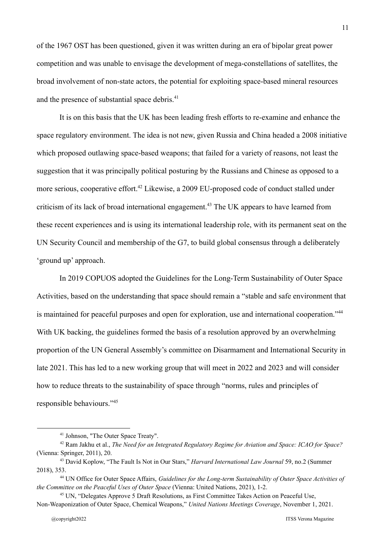of the 1967 OST has been questioned, given it was written during an era of bipolar great power competition and was unable to envisage the development of mega-constellations of satellites, the broad involvement of non-state actors, the potential for exploiting space-based mineral resources and the presence of substantial space debris.<sup>41</sup>

It is on this basis that the UK has been leading fresh efforts to re-examine and enhance the space regulatory environment. The idea is not new, given Russia and China headed a 2008 initiative which proposed outlawing space-based weapons; that failed for a variety of reasons, not least the suggestion that it was principally political posturing by the Russians and Chinese as opposed to a more serious, cooperative effort.<sup>42</sup> Likewise, a 2009 EU-proposed code of conduct stalled under criticism of its lack of broad international engagement.<sup>43</sup> The UK appears to have learned from these recent experiences and is using its international leadership role, with its permanent seat on the UN Security Council and membership of the G7, to build global consensus through a deliberately 'ground up' approach.

In 2019 COPUOS adopted the Guidelines for the Long-Term Sustainability of Outer Space Activities, based on the understanding that space should remain a "stable and safe environment that is maintained for peaceful purposes and open for exploration, use and international cooperation."<sup>44</sup> With UK backing, the guidelines formed the basis of a resolution approved by an overwhelming proportion of the UN General Assembly's committee on Disarmament and International Security in late 2021. This has led to a new working group that will meet in 2022 and 2023 and will consider how to reduce threats to the sustainability of space through "norms, rules and principles of responsible behaviours."<sup>45</sup>

<sup>41</sup> Johnson, "The Outer Space Treaty".

<sup>42</sup> Ram Jakhu et al., *The Need for an Integrated Regulatory Regime for Aviation and Space: ICAO for Space?* (Vienna: Springer, 2011), 20.

<sup>43</sup> David Koplow, "The Fault Is Not in Our Stars," *Harvard International Law Journal* 59, no.2 (Summer 2018), 353.

<sup>44</sup> UN Office for Outer Space Affairs, *Guidelines for the Long-term Sustainability of Outer Space Activities of the Committee on the Peaceful Uses of Outer Space* (Vienna: United Nations, 2021), 1-2.

<sup>45</sup> UN, "Delegates Approve 5 Draft Resolutions, as First Committee Takes Action on Peaceful Use, Non-Weaponization of Outer Space, Chemical Weapons," *United Nations Meetings Coverage*, November 1, 2021.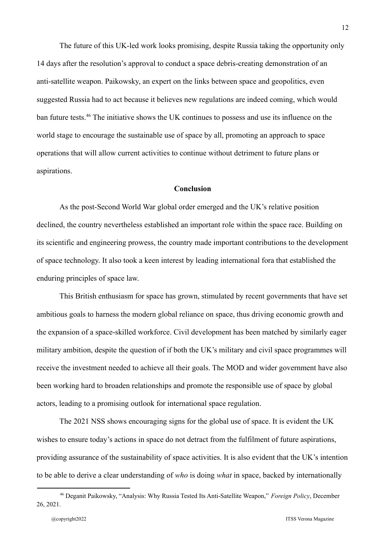The future of this UK-led work looks promising, despite Russia taking the opportunity only 14 days after the resolution's approval to conduct a space debris-creating demonstration of an anti-satellite weapon. Paikowsky, an expert on the links between space and geopolitics, even suggested Russia had to act because it believes new regulations are indeed coming, which would ban future tests.<sup>46</sup> The initiative shows the UK continues to possess and use its influence on the world stage to encourage the sustainable use of space by all, promoting an approach to space operations that will allow current activities to continue without detriment to future plans or aspirations.

## **Conclusion**

As the post-Second World War global order emerged and the UK's relative position declined, the country nevertheless established an important role within the space race. Building on its scientific and engineering prowess, the country made important contributions to the development of space technology. It also took a keen interest by leading international fora that established the enduring principles of space law.

This British enthusiasm for space has grown, stimulated by recent governments that have set ambitious goals to harness the modern global reliance on space, thus driving economic growth and the expansion of a space-skilled workforce. Civil development has been matched by similarly eager military ambition, despite the question of if both the UK's military and civil space programmes will receive the investment needed to achieve all their goals. The MOD and wider government have also been working hard to broaden relationships and promote the responsible use of space by global actors, leading to a promising outlook for international space regulation.

The 2021 NSS shows encouraging signs for the global use of space. It is evident the UK wishes to ensure today's actions in space do not detract from the fulfilment of future aspirations, providing assurance of the sustainability of space activities. It is also evident that the UK's intention to be able to derive a clear understanding of *who* is doing *what* in space, backed by internationally

<sup>46</sup> Deganit Paikowsky, "Analysis: Why Russia Tested Its Anti-Satellite Weapon," *Foreign Policy*, December 26, 2021.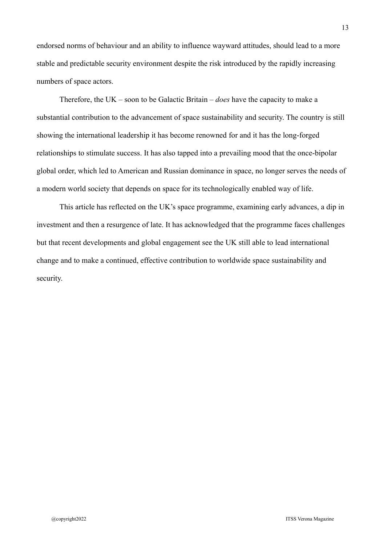endorsed norms of behaviour and an ability to influence wayward attitudes, should lead to a more stable and predictable security environment despite the risk introduced by the rapidly increasing numbers of space actors.

Therefore, the UK – soon to be Galactic Britain – *does* have the capacity to make a substantial contribution to the advancement of space sustainability and security. The country is still showing the international leadership it has become renowned for and it has the long-forged relationships to stimulate success. It has also tapped into a prevailing mood that the once-bipolar global order, which led to American and Russian dominance in space, no longer serves the needs of a modern world society that depends on space for its technologically enabled way of life.

This article has reflected on the UK's space programme, examining early advances, a dip in investment and then a resurgence of late. It has acknowledged that the programme faces challenges but that recent developments and global engagement see the UK still able to lead international change and to make a continued, effective contribution to worldwide space sustainability and security.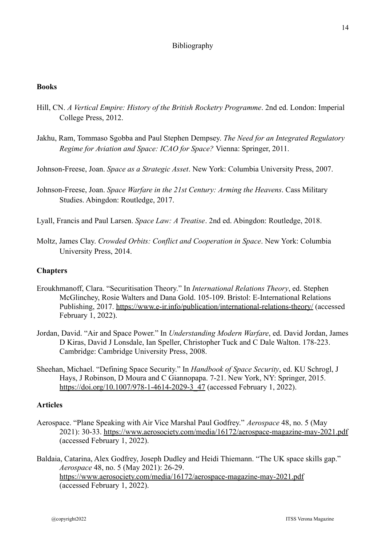## Bibliography

## **Books**

- Hill, CN. *A Vertical Empire: History of the British Rocketry Programme*. 2nd ed. London: Imperial College Press, 2012.
- Jakhu, Ram, Tommaso Sgobba and Paul Stephen Dempsey. *The Need for an Integrated Regulatory Regime for Aviation and Space: ICAO for Space?* Vienna: Springer, 2011.
- Johnson-Freese, Joan. *Space as a Strategic Asset*. New York: Columbia University Press, 2007.
- Johnson-Freese, Joan. *Space Warfare in the 21st Century: Arming the Heavens*. Cass Military Studies. Abingdon: Routledge, 2017.
- Lyall, Francis and Paul Larsen. *Space Law: A Treatise*. 2nd ed. Abingdon: Routledge, 2018.
- Moltz, James Clay. *Crowded Orbits: Conflict and Cooperation in Space*. New York: Columbia University Press, 2014.

## **Chapters**

- Eroukhmanoff, Clara. "Securitisation Theory." In *International Relations Theory*, ed. Stephen McGlinchey, Rosie Walters and Dana Gold. 105-109. Bristol: E-International Relations Publishing, 2017. <https://www.e-ir.info/publication/international-relations-theory/> (accessed February 1, 2022).
- Jordan, David. "Air and Space Power." In *Understanding Modern Warfare*, ed. David Jordan, James D Kiras, David J Lonsdale, Ian Speller, Christopher Tuck and C Dale Walton. 178-223. Cambridge: Cambridge University Press, 2008.
- Sheehan, Michael. "Defining Space Security." In *Handbook of Space Security*, ed. KU Schrogl, J Hays, J Robinson, D Moura and C Giannopapa. 7-21. New York, NY: Springer, 2015. [https://doi.org/10.1007/978-1-4614-2029-3\\_47](https://doi.org/10.1007/978-1-4614-2029-3_47) (accessed February 1, 2022).

## **Articles**

- Aerospace. "Plane Speaking with Air Vice Marshal Paul Godfrey." *Aerospace* 48, no. 5 (May 2021): 30-33. <https://www.aerosociety.com/media/16172/aerospace-magazine-may-2021.pdf> (accessed February 1, 2022).
- Baldaia, Catarina, Alex Godfrey, Joseph Dudley and Heidi Thiemann. "The UK space skills gap." *Aerospace* 48, no. 5 (May 2021): 26-29. <https://www.aerosociety.com/media/16172/aerospace-magazine-may-2021.pdf> (accessed February 1, 2022).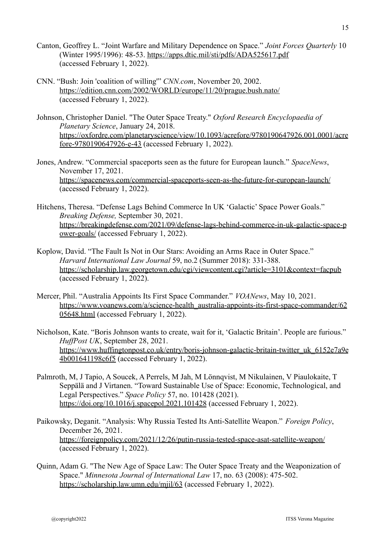- Canton, Geoffrey L. "Joint Warfare and Military Dependence on Space." *Joint Forces Quarterly* 10 (Winter 1995/1996): 48-53. <https://apps.dtic.mil/sti/pdfs/ADA525617.pdf> (accessed February 1, 2022).
- CNN. "Bush: Join 'coalition of willing'" *CNN.com*, November 20, 2002. <https://edition.cnn.com/2002/WORLD/europe/11/20/prague.bush.nato/> (accessed February 1, 2022).
- Johnson, Christopher Daniel. "The Outer Space Treaty." *Oxford Research Encyclopaedia of Planetary Science*, January 24, 2018. [https://oxfordre.com/planetaryscience/view/10.1093/acrefore/9780190647926.001.0001/acre](https://oxfordre.com/planetaryscience/view/10.1093/acrefore/9780190647926.001.0001/acrefore-9780190647926-e-43) [fore-9780190647926-e-43](https://oxfordre.com/planetaryscience/view/10.1093/acrefore/9780190647926.001.0001/acrefore-9780190647926-e-43) (accessed February 1, 2022).
- Jones, Andrew. "Commercial spaceports seen as the future for European launch." *SpaceNews*, November 17, 2021. <https://spacenews.com/commercial-spaceports-seen-as-the-future-for-european-launch/> (accessed February 1, 2022).
- Hitchens, Theresa. "Defense Lags Behind Commerce In UK 'Galactic' Space Power Goals." *Breaking Defense,* September 30, 2021. [https://breakingdefense.com/2021/09/defense-lags-behind-commerce-in-uk-galactic-space-p](https://breakingdefense.com/2021/09/defense-lags-behind-commerce-in-uk-galactic-space-power-goals/) [ower-goals/](https://breakingdefense.com/2021/09/defense-lags-behind-commerce-in-uk-galactic-space-power-goals/) (accessed February 1, 2022).
- Koplow, David. "The Fault Is Not in Our Stars: Avoiding an Arms Race in Outer Space." *Harvard International Law Journal* 59, no.2 (Summer 2018): 331-388. <https://scholarship.law.georgetown.edu/cgi/viewcontent.cgi?article=3101&context=facpub> (accessed February 1, 2022).
- Mercer, Phil. "Australia Appoints Its First Space Commander." *VOANews*, May 10, 2021. [https://www.voanews.com/a/science-health\\_australia-appoints-its-first-space-commander/62](https://www.voanews.com/a/science-health_australia-appoints-its-first-space-commander/6205648.html) [05648.html](https://www.voanews.com/a/science-health_australia-appoints-its-first-space-commander/6205648.html) (accessed February 1, 2022).
- Nicholson, Kate. "Boris Johnson wants to create, wait for it, 'Galactic Britain'. People are furious." *HuffPost UK*, September 28, 2021. [https://www.huffingtonpost.co.uk/entry/boris-johnson-galactic-britain-twitter\\_uk\\_6152e7a9e](https://www.huffingtonpost.co.uk/entry/boris-johnson-galactic-britain-twitter_uk_6152e7a9e4b001641198c6f5) [4b001641198c6f5](https://www.huffingtonpost.co.uk/entry/boris-johnson-galactic-britain-twitter_uk_6152e7a9e4b001641198c6f5) (accessed February 1, 2022).
- Palmroth, M, J Tapio, A Soucek, A Perrels, M Jah, M Lönnqvist, M Nikulainen, V Piaulokaite, T Seppälä and J Virtanen. "Toward Sustainable Use of Space: Economic, Technological, and Legal Perspectives." *Space Policy* 57, no. 101428 (2021). <https://doi.org/10.1016/j.spacepol.2021.101428> (accessed February 1, 2022).
- Paikowsky, Deganit. "Analysis: Why Russia Tested Its Anti-Satellite Weapon." *Foreign Policy*, December 26, 2021. <https://foreignpolicy.com/2021/12/26/putin-russia-tested-space-asat-satellite-weapon/> (accessed February 1, 2022).
- Quinn, Adam G. "The New Age of Space Law: The Outer Space Treaty and the Weaponization of Space." *Minnesota Journal of International Law* 17, no. 63 (2008): 475-502. <https://scholarship.law.umn.edu/mjil/63> (accessed February 1, 2022).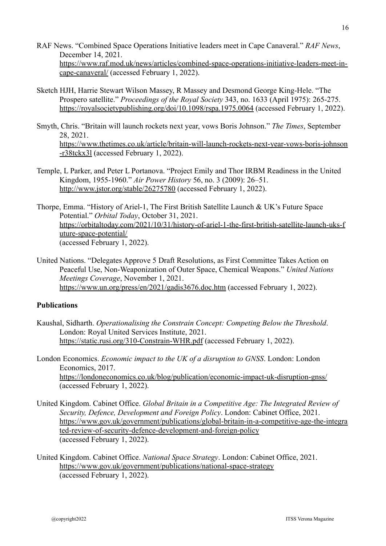- RAF News. "Combined Space Operations Initiative leaders meet in Cape Canaveral." *RAF News*, December 14, 2021. [https://www.raf.mod.uk/news/articles/combined-space-operations-initiative-leaders-meet-in](https://www.raf.mod.uk/news/articles/combined-space-operations-initiative-leaders-meet-in-cape-canaveral/)[cape-canaveral/](https://www.raf.mod.uk/news/articles/combined-space-operations-initiative-leaders-meet-in-cape-canaveral/) (accessed February 1, 2022).
- Sketch HJH, Harrie Stewart Wilson Massey, R Massey and Desmond George King-Hele. "The Prospero satellite." *Proceedings of the Royal Society* 343, no. 1633 (April 1975): 265-275. <https://royalsocietypublishing.org/doi/10.1098/rspa.1975.0064> (accessed February 1, 2022).
- Smyth, Chris. "Britain will launch rockets next year, vows Boris Johnson." *The Times*, September 28, 2021. [https://www.thetimes.co.uk/article/britain-will-launch-rockets-next-year-vows-boris-johnson](https://www.thetimes.co.uk/article/britain-will-launch-rockets-next-year-vows-boris-johnson-r38tckx3l) [-r38tckx3l](https://www.thetimes.co.uk/article/britain-will-launch-rockets-next-year-vows-boris-johnson-r38tckx3l) (accessed February 1, 2022).
- Temple, L Parker, and Peter L Portanova. "Project Emily and Thor IRBM Readiness in the United Kingdom, 1955-1960." *Air Power History* 56, no. 3 (2009): 26–51. <http://www.jstor.org/stable/26275780> (accessed February 1, 2022).
- Thorpe, Emma. "History of Ariel-1, The First British Satellite Launch & UK's Future Space Potential." *Orbital Today*, October 31, 2021. [https://orbitaltoday.com/2021/10/31/history-of-ariel-1-the-first-british-satellite-launch-uks-f](https://orbitaltoday.com/2021/10/31/history-of-ariel-1-the-first-british-satellite-launch-uks-future-space-potential/) [uture-space-potential/](https://orbitaltoday.com/2021/10/31/history-of-ariel-1-the-first-british-satellite-launch-uks-future-space-potential/) (accessed February 1, 2022).
- United Nations. "Delegates Approve 5 Draft Resolutions, as First Committee Takes Action on Peaceful Use, Non-Weaponization of Outer Space, Chemical Weapons." *United Nations Meetings Coverage*, November 1, 2021. <https://www.un.org/press/en/2021/gadis3676.doc.htm> (accessed February 1, 2022).

## **Publications**

- Kaushal, Sidharth. *Operationalising the Constrain Concept: Competing Below the Threshold*. London: Royal United Services Institute, 2021. <https://static.rusi.org/310-Constrain-WHR.pdf> (accessed February 1, 2022).
- London Economics. *Economic impact to the UK of a disruption to GNSS*. London: London Economics, 2017. <https://londoneconomics.co.uk/blog/publication/economic-impact-uk-disruption-gnss/> (accessed February 1, 2022).
- United Kingdom. Cabinet Office. *Global Britain in a Competitive Age: The Integrated Review of Security, Defence, Development and Foreign Policy*. London: Cabinet Office, 2021. [https://www.gov.uk/government/publications/global-britain-in-a-competitive-age-the-integra](https://www.gov.uk/government/publications/global-britain-in-a-competitive-age-the-integrated-review-of-security-defence-development-and-foreign-policy) [ted-review-of-security-defence-development-and-foreign-policy](https://www.gov.uk/government/publications/global-britain-in-a-competitive-age-the-integrated-review-of-security-defence-development-and-foreign-policy) (accessed February 1, 2022).
- United Kingdom. Cabinet Office. *National Space Strategy*. London: Cabinet Office, 2021. <https://www.gov.uk/government/publications/national-space-strategy> (accessed February 1, 2022).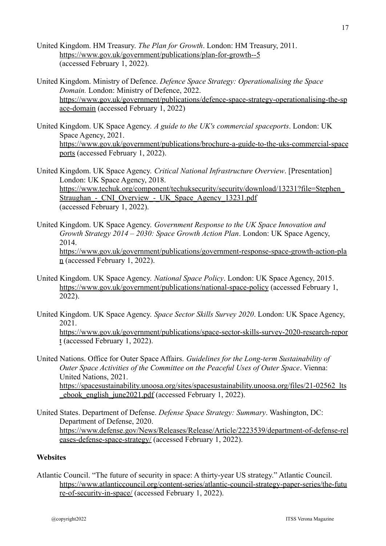- United Kingdom. HM Treasury. *The Plan for Growth*. London: HM Treasury, 2011. <https://www.gov.uk/government/publications/plan-for-growth--5> (accessed February 1, 2022).
- United Kingdom. Ministry of Defence. *Defence Space Strategy: Operationalising the Space Domain.* London: Ministry of Defence, 2022. [https://www.gov.uk/government/publications/defence-space-strategy-operationalising-the-sp](https://www.gov.uk/government/publications/defence-space-strategy-operationalising-the-space-domain) [ace-domain](https://www.gov.uk/government/publications/defence-space-strategy-operationalising-the-space-domain) (accessed February 1, 2022)
- United Kingdom. UK Space Agency. *A guide to the UK's commercial spaceports*. London: UK Space Agency, 2021. [https://www.gov.uk/government/publications/brochure-a-guide-to-the-uks-commercial-space](https://www.gov.uk/government/publications/brochure-a-guide-to-the-uks-commercial-spaceports) [ports](https://www.gov.uk/government/publications/brochure-a-guide-to-the-uks-commercial-spaceports) (accessed February 1, 2022).

United Kingdom. UK Space Agency. *Critical National Infrastructure Overview*. [Presentation] London: UK Space Agency, 2018. [https://www.techuk.org/component/techuksecurity/security/download/13231?file=Stephen\\_](https://www.techuk.org/component/techuksecurity/security/download/13231?file=Stephen_Straughan_-_CNI_Overview_-_UK_Space_Agency_13231.pdf) Straughan - CNI Overview - UK Space Agency 13231.pdf (accessed February 1, 2022).

- United Kingdom. UK Space Agency. *Government Response to the UK Space Innovation and Growth Strategy 2014 – 2030: Space Growth Action Plan*. London: UK Space Agency, 2014. [https://www.gov.uk/government/publications/government-response-space-growth-action-pla](https://www.gov.uk/government/publications/government-response-space-growth-action-plan) [n](https://www.gov.uk/government/publications/government-response-space-growth-action-plan) (accessed February 1, 2022).
- United Kingdom. UK Space Agency. *National Space Policy*. London: UK Space Agency, 2015. <https://www.gov.uk/government/publications/national-space-policy> (accessed February 1, 2022).
- United Kingdom. UK Space Agency. *Space Sector Skills Survey 2020*. London: UK Space Agency, 2021.

[https://www.gov.uk/government/publications/space-sector-skills-survey-2020-research-repor](https://www.gov.uk/government/publications/space-sector-skills-survey-2020-research-report) [t](https://www.gov.uk/government/publications/space-sector-skills-survey-2020-research-report) (accessed February 1, 2022).

- United Nations. Office for Outer Space Affairs. *Guidelines for the Long-term Sustainability of Outer Space Activities of the Committee on the Peaceful Uses of Outer Space*. Vienna: United Nations, 2021. https://spacesustainability.unoosa.org/sites/spacesustainability.unoosa.org/files/21-02562 lts [\\_ebook\\_english\\_june2021.pdf](https://spacesustainability.unoosa.org/sites/spacesustainability.unoosa.org/files/21-02562_lts_ebook_english_june2021.pdf) (accessed February 1, 2022).
- United States. Department of Defense. *Defense Space Strategy: Summary*. Washington, DC: Department of Defense, 2020. [https://www.defense.gov/News/Releases/Release/Article/2223539/department-of-defense-rel](https://www.defense.gov/News/Releases/Release/Article/2223539/department-of-defense-releases-defense-space-strategy/) [eases-defense-space-strategy/](https://www.defense.gov/News/Releases/Release/Article/2223539/department-of-defense-releases-defense-space-strategy/) (accessed February 1, 2022).

## **Websites**

Atlantic Council. "The future of security in space: A thirty-year US strategy." Atlantic Council. [https://www.atlanticcouncil.org/content-series/atlantic-council-strategy-paper-series/the-futu](https://www.atlanticcouncil.org/content-series/atlantic-council-strategy-paper-series/the-future-of-security-in-space/) [re-of-security-in-space/](https://www.atlanticcouncil.org/content-series/atlantic-council-strategy-paper-series/the-future-of-security-in-space/) (accessed February 1, 2022).